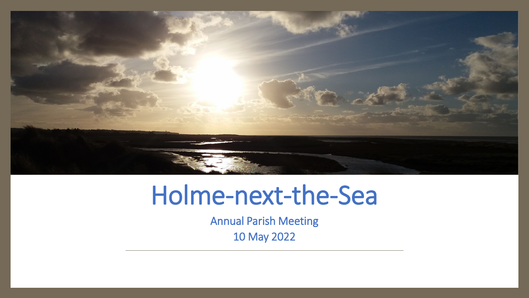

# Holme-next-the-Sea

Annual Parish Meeting

10 May 2022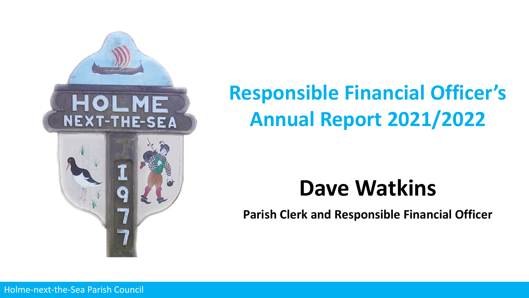

## **Responsible Financial Officer's Annual Report 2021/2022**

## **Dave Watkins**

**Parish Clerk and Responsible Financial Officer**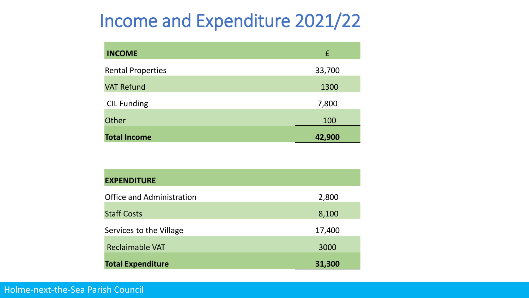### Income and Expenditure 2021/22

| <b>INCOME</b>            | £      |
|--------------------------|--------|
| <b>Rental Properties</b> | 33,700 |
| <b>VAT Refund</b>        | 1300   |
| <b>CIL Funding</b>       | 7,800  |
| Other                    | 100    |
| <b>Total Income</b>      | 42,900 |

| <b>EXPENDITURE</b>               |        |
|----------------------------------|--------|
| <b>Office and Administration</b> | 2,800  |
| <b>Staff Costs</b>               | 8,100  |
| Services to the Village          | 17,400 |
| <b>Reclaimable VAT</b>           | 3000   |
| <b>Total Expenditure</b>         | 31,300 |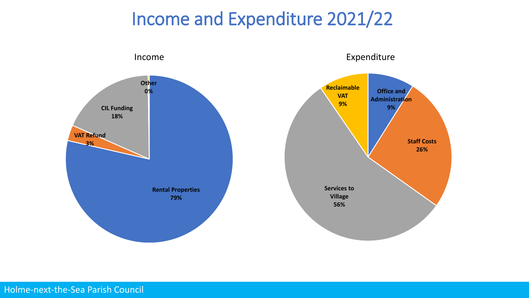### Income and Expenditure 2021/22



Holme-next-the-Sea Parish Council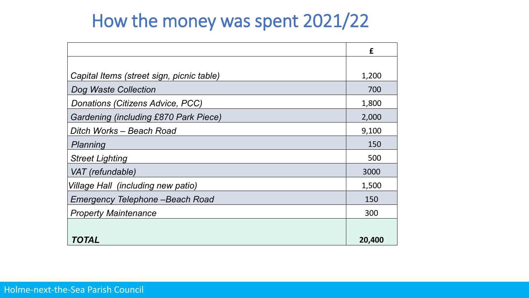### How the money was spent 2021/22

|                                              | £      |
|----------------------------------------------|--------|
|                                              |        |
| Capital Items (street sign, picnic table)    | 1,200  |
| Dog Waste Collection                         | 700    |
| Donations (Citizens Advice, PCC)             | 1,800  |
| <b>Gardening (including £870 Park Piece)</b> | 2,000  |
| Ditch Works – Beach Road                     | 9,100  |
| Planning                                     | 150    |
| <b>Street Lighting</b>                       | 500    |
| VAT (refundable)                             | 3000   |
| Village Hall (including new patio)           | 1,500  |
| Emergency Telephone - Beach Road             | 150    |
| <b>Property Maintenance</b>                  | 300    |
|                                              |        |
| TOTAL                                        | 20,400 |